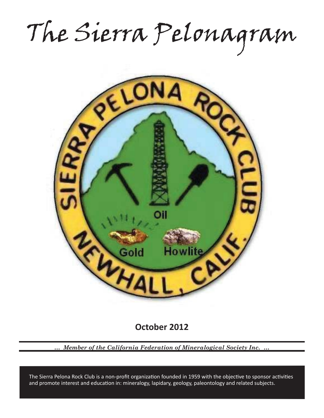The Sierra Pelonagram



**October 2012**

*… Member of the California Federation of Mineralogical Society Inc. …*

and promote interest and education in: mineralogy, lapidary, geology, paleontology and related subjects. The Sierra Pelona Rock Club is a non-profit organization founded in 1959 with the objective to sponsor activities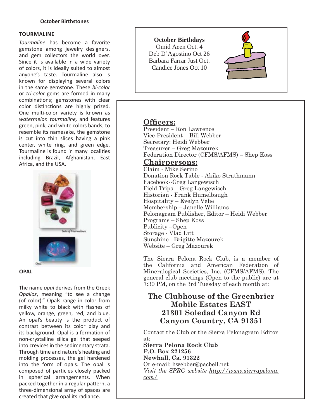#### **TOURMALINE**

*Tourmaline* has become a favorite gemstone among jewelry designers, and gem collectors the world over. Since it is available in a wide variety of colors, it is ideally suited to almost anyone's taste. Tourmaline also is known for displaying several colors in the same gemstone. These *bi-color* or *tri-color* gems are formed in many combinations; gemstones with clear color distinctions are highly prized. One multi-color variety is known as *watermelon tourmaline,* and features green, pink, and white colors bands; to resemble its namesake, the gemstone is cut into thin slices having a pink center, white ring, and green edge. Tourmaline is found in many localities including Brazil, Afghanistan, East Africa, and the USA.



#### **OPAL**

The name *opal* derives from the Greek *Opallos*, meaning "to see a change (of color)." Opals range in color from milky white to black with flashes of yellow, orange, green, red, and blue. An opal's beauty is the product of contrast between its color play and its background. Opal is a formation of non-crystalline silica gel that seeped into crevices in the sedimentary strata. Through time and nature's heating and molding processes, the gel hardened into the form of opals. The opal is composed of particles closely packed in spherical arrangements. When packed together in a regular pattern, a three-dimensional array of spaces are created that give opal its radiance.

#### **October Birthdays**

Omid Aeen Oct. 4 Deb D'Agostino Oct 26 Barbara Farrar Just Oct. Candice Jones Oct 10



# **Officers:**

President – Ron Lawrence Vice-President – Bill Webber Secretary: Heidi Webber Treasurer – Greg Mazourek Federation Director (CFMS/AFMS) – Shep Koss

# **Chairpersons:**

Claim - Mike Serino Donation Rock Table - Akiko Strathmann Facebook--Greg Langewisch Field Trips – Greg Langewisch Historian - Frank Humelbaugh Hospitality – Evelyn Velie Membership – Janelle Williams Pelonagram Publisher, Editor – Heidi Webber Programs – Shep Koss Publicity –Open Storage - Vlad Litt Sunshine - Brigitte Mazourek Website – Greg Mazourek

The Sierra Pelona Rock Club, is a member of the California and American Federation of Mineralogical Societies, Inc. (CFMS/AFMS). The general club meetings (Open to the public) are at 7:30 PM, on the 3rd Tuesday of each month at:

# **The Clubhouse of the Greenbrier Mobile Estates EAST 21301 Soledad Canyon Rd Canyon Country, CA 91351**

Contact the Club or the Sierra Pelonagram Editor at:

**Sierra Pelona Rock Club P.O. Box 221256 Newhall, Ca. 91322** Or e-mail: hwebber@pacbell.net *Visit the SPRC website http://www.sierrapelona. com/*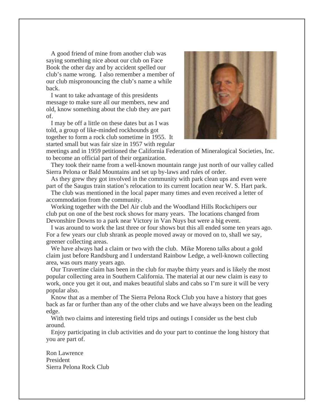A good friend of mine from another club was saying something nice about our club on Face Book the other day and by accident spelled our club's name wrong. I also remember a member of our club mispronouncing the club's name a while back.

 I want to take advantage of this presidents message to make sure all our members, new and old, know something about the club they are part of.

 I may be off a little on these dates but as I was told, a group of like-minded rockhounds got together to form a rock club sometime in 1955. It started small but was fair size in 1957 with regular



meetings and in 1959 petitioned the California Federation of Mineralogical Societies, Inc. to become an official part of their organization.

 They took their name from a well-known mountain range just north of our valley called Sierra Pelona or Bald Mountains and set up by-laws and rules of order.

 As they grew they got involved in the community with park clean ups and even were part of the Saugus train station's relocation to its current location near W. S. Hart park.

 The club was mentioned in the local paper many times and even received a letter of accommodation from the community.

 Working together with the Del Air club and the Woodland Hills Rockchipers our club put on one of the best rock shows for many years. The locations changed from Devonshire Downs to a park near Victory in Van Nuys but were a big event.

 I was around to work the last three or four shows but this all ended some ten years ago. For a few years our club shrank as people moved away or moved on to, shall we say, greener collecting areas.

 We have always had a claim or two with the club. Mike Moreno talks about a gold claim just before Randsburg and I understand Rainbow Ledge, a well-known collecting area, was ours many years ago.

 Our Travertine claim has been in the club for maybe thirty years and is likely the most popular collecting area in Southern California. The material at our new claim is easy to work, once you get it out, and makes beautiful slabs and cabs so I'm sure it will be very popular also.

 Know that as a member of The Sierra Pelona Rock Club you have a history that goes back as far or further than any of the other clubs and we have always been on the leading edge.

With two claims and interesting field trips and outings I consider us the best club around.

 Enjoy participating in club activities and do your part to continue the long history that you are part of.

Ron Lawrence President Sierra Pelona Rock Club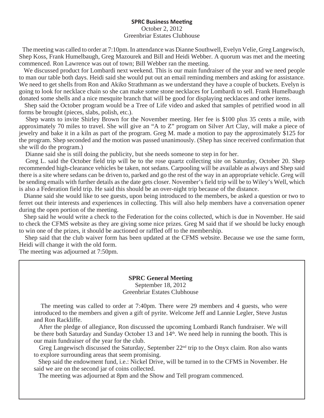#### **SPRC Business Meeting**

#### October 2, 2012 Greenbriar Estates Clubhouse

 The meeting was called to order at 7:10pm. In attendance was Dianne Southwell, Evelyn Velie, Greg Langewisch, Shep Koss, Frank Humelbaugh, Greg Mazourek and Bill and Heidi Webber. A quorum was met and the meeting commenced. Ron Lawrence was out of town; Bill Webber ran the meeting.

 We discussed product for Lombardi next weekend. This is our main fundraiser of the year and we need people to man our table both days. Heidi said she would put out an email reminding members and asking for assistance. We need to get shells from Ron and Akiko Strathmann as we understand they have a couple of buckets. Evelyn is going to look for necklace chain so she can make some stone necklaces for Lombardi to sell. Frank Humelbaugh donated some shells and a nice mesquite branch that will be good for displaying necklaces and other items.

 Shep said the October program would be a Tree of Life video and asked that samples of petrified wood in all forms be brought (pieces, slabs, polish, etc.).

 Shep wants to invite Shirley Brown for the November meeting. Her fee is \$100 plus 35 cents a mile, with approximately 70 miles to travel. She will give an "A to Z" program on Silver Art Clay, will make a piece of jewelry and bake it in a kiln as part of the program. Greg M. made a motion to pay the approximately \$125 for the program. Shep seconded and the motion was passed unanimously. (Shep has since received confirmation that she will do the program.)

Dianne said she is still doing the publicity, but she needs someone to step in for her.

 Greg L. said the October field trip will be to the rose quartz collecting site on Saturday, October 20. Shep recommended high-clearance vehicles be taken, not sedans. Carpooling will be available as always and Shep said there is a site where sedans can be driven to, parked and go the rest of the way in an appropriate vehicle. Greg will be sending emails with further details as the date gets closer. November's field trip will be to Wiley's Well, which is also a Federation field trip. He said this should be an over-night trip because of the distance.

 Dianne said she would like to see guests, upon being introduced to the members, be asked a question or two to ferret out their interests and experiences in collecting. This will also help members have a conversation opener during the open portion of the meeting.

 Shep said he would write a check to the Federation for the coins collected, which is due in November. He said to check the CFMS website as they are giving some nice prizes. Greg M said that if we should be lucky enough to win one of the prizes, it should be auctioned or raffled off to the membership.

 Shep said that the club waiver form has been updated at the CFMS website. Because we use the same form, Heidi will change it with the old form.

The meeting was adjourned at 7:50pm.

#### **SPRC General Meeting** September 18, 2012 Greenbriar Estates Clubhouse

 The meeting was called to order at 7:40pm. There were 29 members and 4 guests, who were introduced to the members and given a gift of pyrite. Welcome Jeff and Lannie Legler, Steve Justus and Ron Rackliffe.

 After the pledge of allegiance, Ron discussed the upcoming Lombardi Ranch fundraiser. We will be there both Saturday and Sunday October 13 and 14<sup>th</sup>. We need help in running the booth. This is our main fundraiser of the year for the club.

Greg Langewisch discussed the Saturday, September 22<sup>nd</sup> trip to the Onyx claim. Ron also wants to explore surrounding areas that seem promising.

 Shep said the endowment fund, i.e.: Nickel Drive, will be turned in to the CFMS in November. He said we are on the second jar of coins collected.

The meeting was adjourned at 8pm and the Show and Tell program commenced.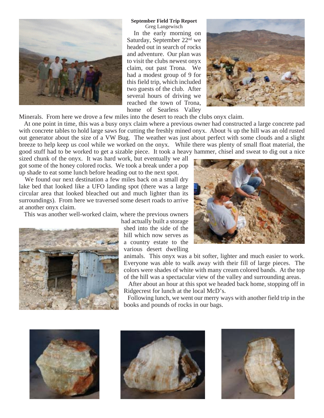

#### **September Field Trip Report**

Greg Langewisch In the early morning on Saturday, September 22nd we headed out in search of rocks and adventure. Our plan was to visit the clubs newest onyx claim, out past Trona. We had a modest group of 9 for this field trip, which included two guests of the club. After several hours of driving we reached the town of Trona, home of Searless Valley



Minerals. From here we drove a few miles into the desert to reach the clubs onyx claim.

 At one point in time, this was a busy onyx claim where a previous owner had constructed a large concrete pad with concrete tables to hold large saws for cutting the freshly mined onyx. About  $\frac{3}{4}$  up the hill was an old rusted out generator about the size of a VW Bug. The weather was just about perfect with some clouds and a slight breeze to help keep us cool while we worked on the onyx. While there was plenty of small float material, the good stuff had to be worked to get a sizable piece. It took a heavy hammer, chisel and sweat to dig out a nice

sized chunk of the onyx. It was hard work, but eventually we all got some of the honey colored rocks. We took a break under a pop up shade to eat some lunch before heading out to the next spot.

 We found our next destination a few miles back on a small dry lake bed that looked like a UFO landing spot (there was a large circular area that looked bleached out and much lighter than its surroundings). From here we traversed some desert roads to arrive at another onyx claim.

This was another well-worked claim, where the previous owners



had actually built a storage shed into the side of the hill which now serves as a country estate to the various desert dwelling

animals. This onyx was a bit softer, lighter and much easier to work. Everyone was able to walk away with their fill of large pieces. The colors were shades of white with many cream colored bands. At the top of the hill was a spectacular view of the valley and surrounding areas.

 After about an hour at this spot we headed back home, stopping off in Ridgecrest for lunch at the local McD's.

 Following lunch, we went our merry ways with another field trip in the books and pounds of rocks in our bags.







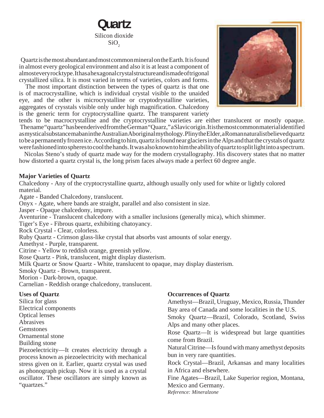# **Quartz** Silicon dioxide  $SiO<sub>2</sub>$

 Quartz is the most abundant and most common mineral on the Earth. It is found in almost every geological environment and also it is at least a component of almost every rock type. It has a hexagonal crystal structure and is made of trigonal crystallized silica. It is most varied in terms of varieties, colors and forms.

 The most important distinction between the types of quartz is that one is of macrocrystalline, which is individual crystal visible to the unaided eye, and the other is microcrystalline or cryptodrystalline varieties, aggregates of crysstals visible only under high magnification. Chalcedony is the generic term for cryptocrystalline quartz. The transparent variety



tends to be macrocrystalline and the cryptocrystalline varieties are either translucent or mostly opaque. The name "quartz" has been derived from the German "Quarz," a Slavic origin. It is the most common material identified as mystical substance maban in the Australian Aboriginal mythology. Pliny the Elder, a Roman naturalist believed quartz to be a permanently frozen ice. According to him, quartz is found near glaciers in the Alps and that the crystals of quartz were fashioned into spheres to cool the hands. It was also known to him the ability of quartz to split light into a spectrum.

 Nicolas Steno's study of quartz made way for the modern crystallography. His discovery states that no matter how distorted a quartz crystal is, the long prism faces always made a perfect 60 degree angle.

## **Major Varieties of Quartz**

Chalcedony - Any of the cryptocrystalline quartz, although usually only used for white or lightly colored material.

Agate - Banded Chalcedony, translucent.

Onyx - Agate, where bands are straight, parallel and also consistent in size.

Jasper - Opaque chalcedony, impure.

Aventurine - Translucent chalcedony with a smaller inclusions (generally mica), which shimmer.

Tiger's Eye - Fibrous quartz, exhibiting chatoyancy.

Rock Crystal - Clear, colorless.

Ruby Quartz - Crimson glass-like crystal that absorbs vast amounts of solar energy.

Amethyst - Purple, transparent.

Citrine - Yellow to reddish orange, greenish yellow.

Rose Quartz - Pink, translucent, might display diasterism.

Milk Quartz or Snow Quartz - White, translucent to opaque, may display diasterism.

Smoky Quartz - Brown, transparent.

Morion - Dark-brown, opaque.

Carnelian - Reddish orange chalcedony, translucent.

### **Uses of Quartz**

Silica for glass Electrical components Optical lenses Abrasives

**Gemstones** 

Ornamental stone

Building stone

Piezoelectricity—It creates electricity through a process known as piezoelectricity with mechanical stress given on it. Earlier, quartz crystal was used as phonograph pickup. Now it is used as a crystal oscillator. These oscillators are simply known as "quartzes."

# **Occurrences of Quartz**

Amethyst—Brazil, Uruguay, Mexico, Russia, Thunder Bay area of Canada and some localities in the U.S. Smoky Quartz—Brazil, Colorado, Scotland, Swiss

Alps and many other places.

Rose Quartz—It is widespread but large quantities come from Brazil.

Natural Citrine—Is found with many amethyst deposits bun in very rare quantities.

Rock Crystal—Brazil, Arkansas and many localities in Africa and elsewhere.

Fine Agates—Brazil, Lake Superior region, Montana, Mexico and Germany.

*Reference: Mineralzone*